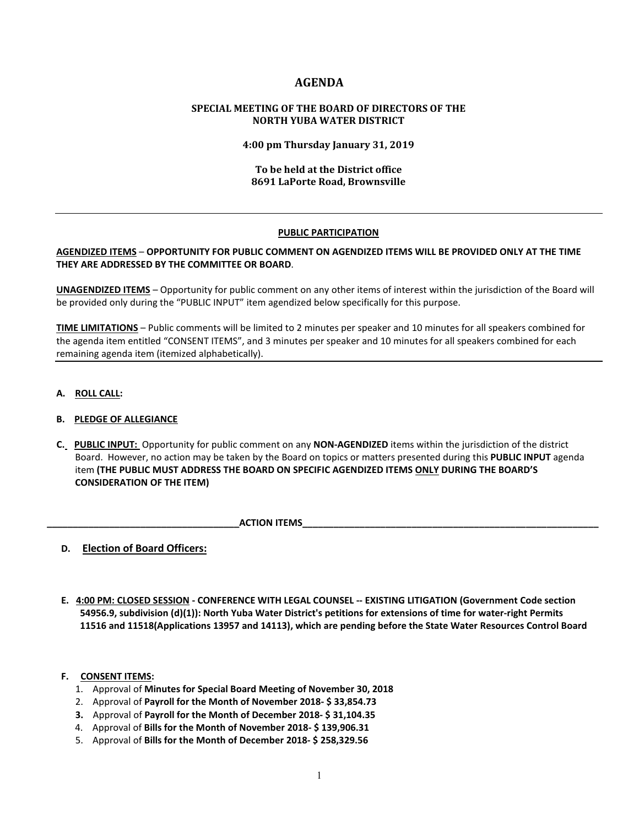# **AGENDA**

# **SPECIAL MEETING OF THE BOARD OF DIRECTORS OF THE NORTH YUBA WATER DISTRICT**

**4:00 pm Thursday January 31, 2019**

# **To be held at the District office 8691 LaPorte Road, Brownsville**

### **PUBLIC PARTICIPATION**

## **AGENDIZED ITEMS** – **OPPORTUNITY FOR PUBLIC COMMENT ON AGENDIZED ITEMS WILL BE PROVIDED ONLY AT THE TIME THEY ARE ADDRESSED BY THE COMMITTEE OR BOARD**.

**UNAGENDIZED ITEMS** – Opportunity for public comment on any other items of interest within the jurisdiction of the Board will be provided only during the "PUBLIC INPUT" item agendized below specifically for this purpose.

**TIME LIMITATIONS** – Public comments will be limited to 2 minutes per speaker and 10 minutes for all speakers combined for the agenda item entitled "CONSENT ITEMS", and 3 minutes per speaker and 10 minutes for all speakers combined for each remaining agenda item (itemized alphabetically).

**A. ROLL CALL:** 

# **B. PLEDGE OF ALLEGIANCE**

 **C. PUBLIC INPUT:** Opportunity for public comment on any **NON-AGENDIZED** items within the jurisdiction of the district Board. However, no action may be taken by the Board on topics or matters presented during this **PUBLIC INPUT** agenda item **(THE PUBLIC MUST ADDRESS THE BOARD ON SPECIFIC AGENDIZED ITEMS ONLY DURING THE BOARD'S CONSIDERATION OF THE ITEM)**

**ACTION ITEMS** 

- **D. Election of Board Officers:**
- **E. 4:00 PM: CLOSED SESSION - CONFERENCE WITH LEGAL COUNSEL -- EXISTING LITIGATION (Government Code section 54956.9, subdivision (d)(1)): North Yuba Water District's petitions for extensions of time for water-right Permits 11516 and 11518(Applications 13957 and 14113), which are pending before the State Water Resources Control Board**

### **F. CONSENT ITEMS:**

- 1. Approval of **Minutes for Special Board Meeting of November 30, 2018**
- 2. Approval of **Payroll for the Month of November 2018- \$ 33,854.73**
- **3.** Approval of **Payroll for the Month of December 2018- \$ 31,104.35**
- 4. Approval of **Bills for the Month of November 2018- \$ 139,906.31**
- 5. Approval of **Bills for the Month of December 2018- \$ 258,329.56**